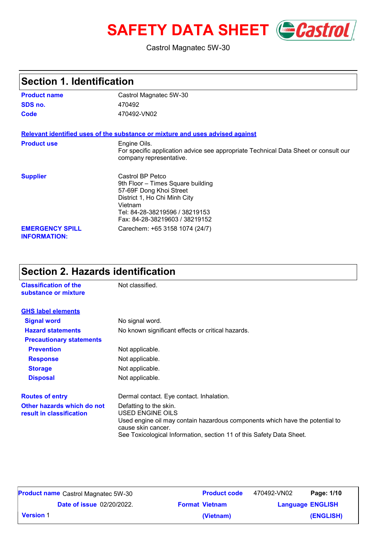# **SAFETY DATA SHEET** *Castrol*

Castrol Magnatec 5W-30

| <b>Section 1. Identification</b>                                                                                                                     |                                                                                                                                                                                                 |  |
|------------------------------------------------------------------------------------------------------------------------------------------------------|-------------------------------------------------------------------------------------------------------------------------------------------------------------------------------------------------|--|
| <b>Product name</b>                                                                                                                                  | Castrol Magnatec 5W-30                                                                                                                                                                          |  |
| SDS no.                                                                                                                                              | 470492                                                                                                                                                                                          |  |
| Code                                                                                                                                                 | 470492-VN02                                                                                                                                                                                     |  |
|                                                                                                                                                      | Relevant identified uses of the substance or mixture and uses advised against                                                                                                                   |  |
| <b>Product use</b><br>Engine Oils.<br>For specific application advice see appropriate Technical Data Sheet or consult our<br>company representative. |                                                                                                                                                                                                 |  |
| <b>Supplier</b>                                                                                                                                      | Castrol BP Petco<br>9th Floor - Times Square building<br>57-69F Dong Khoi Street<br>District 1, Ho Chi Minh City<br>Vietnam<br>Tel: 84-28-38219596 / 38219153<br>Fax: 84-28-38219603 / 38219152 |  |
| <b>EMERGENCY SPILL</b><br><b>INFORMATION:</b>                                                                                                        | Carechem: +65 3158 1074 (24/7)                                                                                                                                                                  |  |

## **Section 2. Hazards identification**

| <b>Classification of the</b><br>substance or mixture   | Not classified.                                                                                                                                                                                                          |
|--------------------------------------------------------|--------------------------------------------------------------------------------------------------------------------------------------------------------------------------------------------------------------------------|
| <b>GHS label elements</b>                              |                                                                                                                                                                                                                          |
| <b>Signal word</b>                                     | No signal word.                                                                                                                                                                                                          |
| <b>Hazard statements</b>                               | No known significant effects or critical hazards.                                                                                                                                                                        |
| <b>Precautionary statements</b>                        |                                                                                                                                                                                                                          |
| <b>Prevention</b>                                      | Not applicable.                                                                                                                                                                                                          |
| <b>Response</b>                                        | Not applicable.                                                                                                                                                                                                          |
| <b>Storage</b>                                         | Not applicable.                                                                                                                                                                                                          |
| <b>Disposal</b>                                        | Not applicable.                                                                                                                                                                                                          |
| <b>Routes of entry</b>                                 | Dermal contact. Eye contact. Inhalation.                                                                                                                                                                                 |
| Other hazards which do not<br>result in classification | Defatting to the skin.<br>USED ENGINE OILS<br>Used engine oil may contain hazardous components which have the potential to<br>cause skin cancer.<br>See Toxicological Information, section 11 of this Safety Data Sheet. |

|                  | <b>Product name</b> Castrol Magnatec 5W-30 | <b>Product code</b>   | 470492-VN02 | Page: 1/10              |
|------------------|--------------------------------------------|-----------------------|-------------|-------------------------|
|                  | <b>Date of issue 02/20/2022.</b>           | <b>Format Vietnam</b> |             | <b>Language ENGLISH</b> |
| <b>Version 1</b> |                                            | (Vietnam)             |             | (ENGLISH)               |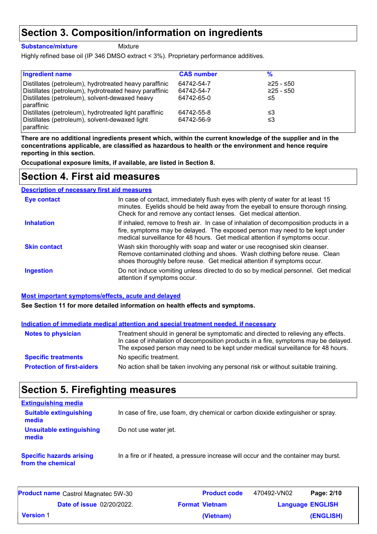## **Section 3. Composition/information on ingredients**

**Substance/mixture**

Mixture

Highly refined base oil (IP 346 DMSO extract < 3%). Proprietary performance additives.

| <b>Ingredient name</b>                                       | <b>CAS number</b> | %         |  |
|--------------------------------------------------------------|-------------------|-----------|--|
| Distillates (petroleum), hydrotreated heavy paraffinic       | 64742-54-7        | ≥25 - ≤50 |  |
| Distillates (petroleum), hydrotreated heavy paraffinic       | 64742-54-7        | ≥25 - ≤50 |  |
| Distillates (petroleum), solvent-dewaxed heavy<br>paraffinic | 64742-65-0        | ≤5        |  |
| Distillates (petroleum), hydrotreated light paraffinic       | 64742-55-8        | ≤3        |  |
| Distillates (petroleum), solvent-dewaxed light<br>paraffinic | 64742-56-9        | ≤3        |  |

**There are no additional ingredients present which, within the current knowledge of the supplier and in the concentrations applicable, are classified as hazardous to health or the environment and hence require reporting in this section.**

**Occupational exposure limits, if available, are listed in Section 8.**

## **Section 4. First aid measures**

| <b>Description of necessary first aid measures</b> |                                                                                                                                                                                                                                                     |
|----------------------------------------------------|-----------------------------------------------------------------------------------------------------------------------------------------------------------------------------------------------------------------------------------------------------|
| <b>Eye contact</b>                                 | In case of contact, immediately flush eyes with plenty of water for at least 15<br>minutes. Eyelids should be held away from the eyeball to ensure thorough rinsing.<br>Check for and remove any contact lenses. Get medical attention.             |
| <b>Inhalation</b>                                  | If inhaled, remove to fresh air. In case of inhalation of decomposition products in a<br>fire, symptoms may be delayed. The exposed person may need to be kept under<br>medical surveillance for 48 hours. Get medical attention if symptoms occur. |
| <b>Skin contact</b>                                | Wash skin thoroughly with soap and water or use recognised skin cleanser.<br>Remove contaminated clothing and shoes. Wash clothing before reuse. Clean<br>shoes thoroughly before reuse. Get medical attention if symptoms occur.                   |
| <b>Ingestion</b>                                   | Do not induce vomiting unless directed to do so by medical personnel. Get medical<br>attention if symptoms occur.                                                                                                                                   |

#### **Most important symptoms/effects, acute and delayed**

**See Section 11 for more detailed information on health effects and symptoms.**

|                                   | Indication of immediate medical attention and special treatment needed, if necessary                                                                                                                                                                        |
|-----------------------------------|-------------------------------------------------------------------------------------------------------------------------------------------------------------------------------------------------------------------------------------------------------------|
| <b>Notes to physician</b>         | Treatment should in general be symptomatic and directed to relieving any effects.<br>In case of inhalation of decomposition products in a fire, symptoms may be delayed.<br>The exposed person may need to be kept under medical surveillance for 48 hours. |
| <b>Specific treatments</b>        | No specific treatment.                                                                                                                                                                                                                                      |
| <b>Protection of first-aiders</b> | No action shall be taken involving any personal risk or without suitable training.                                                                                                                                                                          |

## **Section 5. Firefighting measures**

| <b>Extinguishing media</b>                           |                                                                                     |
|------------------------------------------------------|-------------------------------------------------------------------------------------|
| <b>Suitable extinguishing</b><br>media               | In case of fire, use foam, dry chemical or carbon dioxide extinguisher or spray.    |
| <b>Unsuitable extinguishing</b><br>media             | Do not use water jet.                                                               |
| <b>Specific hazards arising</b><br>from the chemical | In a fire or if heated, a pressure increase will occur and the container may burst. |

|                                  | <b>Product name</b> Castrol Magnatec 5W-30 | <b>Product code</b>   | 470492-VN02 | Page: 2/10              |
|----------------------------------|--------------------------------------------|-----------------------|-------------|-------------------------|
| <b>Date of issue 02/20/2022.</b> |                                            | <b>Format Vietnam</b> |             | <b>Language ENGLISH</b> |
| l Version 1                      |                                            | (Vietnam)             |             | (ENGLISH)               |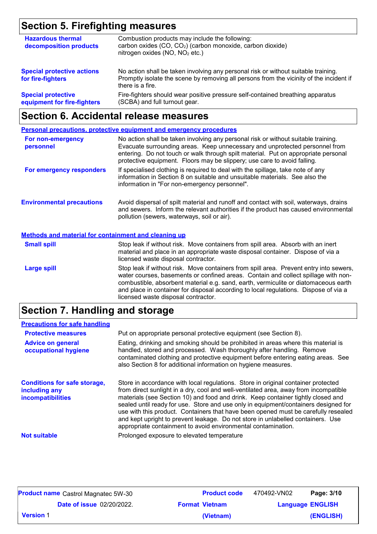# **Section 5. Firefighting measures**

| <b>Hazardous thermal</b><br>decomposition products       | Combustion products may include the following:<br>carbon oxides (CO, CO <sub>2</sub> ) (carbon monoxide, carbon dioxide)<br>nitrogen oxides (NO, NO <sub>2</sub> etc.)                            |
|----------------------------------------------------------|---------------------------------------------------------------------------------------------------------------------------------------------------------------------------------------------------|
| <b>Special protective actions</b><br>for fire-fighters   | No action shall be taken involving any personal risk or without suitable training.<br>Promptly isolate the scene by removing all persons from the vicinity of the incident if<br>there is a fire. |
| <b>Special protective</b><br>equipment for fire-fighters | Fire-fighters should wear positive pressure self-contained breathing apparatus<br>(SCBA) and full turnout gear.                                                                                   |

## **Section 6. Accidental release measures**

|                                                      | <b>Personal precautions, protective equipment and emergency procedures</b>                                                                                                                                                                                                                                                                                                                         |
|------------------------------------------------------|----------------------------------------------------------------------------------------------------------------------------------------------------------------------------------------------------------------------------------------------------------------------------------------------------------------------------------------------------------------------------------------------------|
| For non-emergency<br>personnel                       | No action shall be taken involving any personal risk or without suitable training.<br>Evacuate surrounding areas. Keep unnecessary and unprotected personnel from<br>entering. Do not touch or walk through spilt material. Put on appropriate personal<br>protective equipment. Floors may be slippery; use care to avoid falling.                                                                |
| For emergency responders                             | If specialised clothing is required to deal with the spillage, take note of any<br>information in Section 8 on suitable and unsuitable materials. See also the<br>information in "For non-emergency personnel".                                                                                                                                                                                    |
| <b>Environmental precautions</b>                     | Avoid dispersal of spilt material and runoff and contact with soil, waterways, drains<br>and sewers. Inform the relevant authorities if the product has caused environmental<br>pollution (sewers, waterways, soil or air).                                                                                                                                                                        |
| Methods and material for containment and cleaning up |                                                                                                                                                                                                                                                                                                                                                                                                    |
| <b>Small spill</b>                                   | Stop leak if without risk. Move containers from spill area. Absorb with an inert<br>material and place in an appropriate waste disposal container. Dispose of via a<br>licensed waste disposal contractor.                                                                                                                                                                                         |
| <b>Large spill</b>                                   | Stop leak if without risk. Move containers from spill area. Prevent entry into sewers,<br>water courses, basements or confined areas. Contain and collect spillage with non-<br>combustible, absorbent material e.g. sand, earth, vermiculite or diatomaceous earth<br>and place in container for disposal according to local regulations. Dispose of via a<br>licensed waste disposal contractor. |

# **Section 7. Handling and storage**

| <b>Precautions for safe handling</b>                                             |                                                                                                                                                                                                                                                                                                                                                                                                                                                                                                                                                                                                |
|----------------------------------------------------------------------------------|------------------------------------------------------------------------------------------------------------------------------------------------------------------------------------------------------------------------------------------------------------------------------------------------------------------------------------------------------------------------------------------------------------------------------------------------------------------------------------------------------------------------------------------------------------------------------------------------|
| <b>Protective measures</b>                                                       | Put on appropriate personal protective equipment (see Section 8).                                                                                                                                                                                                                                                                                                                                                                                                                                                                                                                              |
| <b>Advice on general</b><br>occupational hygiene                                 | Eating, drinking and smoking should be prohibited in areas where this material is<br>handled, stored and processed. Wash thoroughly after handling. Remove<br>contaminated clothing and protective equipment before entering eating areas. See<br>also Section 8 for additional information on hygiene measures.                                                                                                                                                                                                                                                                               |
| <b>Conditions for safe storage,</b><br>including any<br><b>incompatibilities</b> | Store in accordance with local regulations. Store in original container protected<br>from direct sunlight in a dry, cool and well-ventilated area, away from incompatible<br>materials (see Section 10) and food and drink. Keep container tightly closed and<br>sealed until ready for use. Store and use only in equipment/containers designed for<br>use with this product. Containers that have been opened must be carefully resealed<br>and kept upright to prevent leakage. Do not store in unlabelled containers. Use<br>appropriate containment to avoid environmental contamination. |
| <b>Not suitable</b>                                                              | Prolonged exposure to elevated temperature                                                                                                                                                                                                                                                                                                                                                                                                                                                                                                                                                     |

| <b>Product name</b> Castrol Magnatec 5W-30 |                                  | <b>Product code</b>   | 470492-VN02 | Page: 3/10              |
|--------------------------------------------|----------------------------------|-----------------------|-------------|-------------------------|
|                                            | <b>Date of issue 02/20/2022.</b> | <b>Format Vietnam</b> |             | <b>Language ENGLISH</b> |
| <b>Version 1</b>                           |                                  | (Vietnam)             |             | (ENGLISH)               |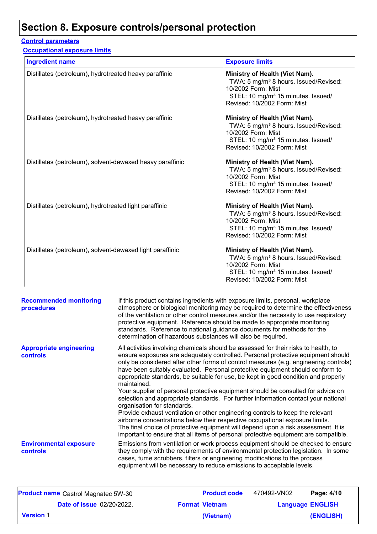## **Section 8. Exposure controls/personal protection**

### **Control parameters**

**Occupational exposure limits**

| <b>Ingredient name</b>                                    | <b>Exposure limits</b>                                                                                                                                                                     |
|-----------------------------------------------------------|--------------------------------------------------------------------------------------------------------------------------------------------------------------------------------------------|
| Distillates (petroleum), hydrotreated heavy paraffinic    | Ministry of Health (Viet Nam).<br>TWA: 5 mg/m <sup>3</sup> 8 hours. Issued/Revised:<br>10/2002 Form: Mist<br>STEL: 10 mg/m <sup>3</sup> 15 minutes. Issued/<br>Revised: 10/2002 Form: Mist |
| Distillates (petroleum), hydrotreated heavy paraffinic    | Ministry of Health (Viet Nam).<br>TWA: 5 mg/m <sup>3</sup> 8 hours. Issued/Revised:<br>10/2002 Form: Mist<br>STEL: 10 mg/m <sup>3</sup> 15 minutes. Issued/<br>Revised: 10/2002 Form: Mist |
| Distillates (petroleum), solvent-dewaxed heavy paraffinic | Ministry of Health (Viet Nam).<br>TWA: 5 mg/m <sup>3</sup> 8 hours. Issued/Revised:<br>10/2002 Form: Mist<br>STEL: 10 mg/m <sup>3</sup> 15 minutes. Issued/<br>Revised: 10/2002 Form: Mist |
| Distillates (petroleum), hydrotreated light paraffinic    | Ministry of Health (Viet Nam).<br>TWA: 5 mg/m <sup>3</sup> 8 hours. Issued/Revised:<br>10/2002 Form: Mist<br>STEL: 10 mg/m <sup>3</sup> 15 minutes. Issued/<br>Revised: 10/2002 Form: Mist |
| Distillates (petroleum), solvent-dewaxed light paraffinic | Ministry of Health (Viet Nam).<br>TWA: 5 mg/m <sup>3</sup> 8 hours. Issued/Revised:<br>10/2002 Form: Mist<br>STEL: 10 mg/m <sup>3</sup> 15 minutes. Issued/<br>Revised: 10/2002 Form: Mist |

| <b>Recommended monitoring</b><br>procedures       | If this product contains ingredients with exposure limits, personal, workplace<br>atmosphere or biological monitoring may be required to determine the effectiveness<br>of the ventilation or other control measures and/or the necessity to use respiratory<br>protective equipment. Reference should be made to appropriate monitoring<br>standards. Reference to national guidance documents for methods for the<br>determination of hazardous substances will also be required.                                                                                                                                                                                                                                                                                                                                                                                                                                                                                                                           |
|---------------------------------------------------|---------------------------------------------------------------------------------------------------------------------------------------------------------------------------------------------------------------------------------------------------------------------------------------------------------------------------------------------------------------------------------------------------------------------------------------------------------------------------------------------------------------------------------------------------------------------------------------------------------------------------------------------------------------------------------------------------------------------------------------------------------------------------------------------------------------------------------------------------------------------------------------------------------------------------------------------------------------------------------------------------------------|
| <b>Appropriate engineering</b><br><b>controls</b> | All activities involving chemicals should be assessed for their risks to health, to<br>ensure exposures are adequately controlled. Personal protective equipment should<br>only be considered after other forms of control measures (e.g. engineering controls)<br>have been suitably evaluated. Personal protective equipment should conform to<br>appropriate standards, be suitable for use, be kept in good condition and properly<br>maintained.<br>Your supplier of personal protective equipment should be consulted for advice on<br>selection and appropriate standards. For further information contact your national<br>organisation for standards.<br>Provide exhaust ventilation or other engineering controls to keep the relevant<br>airborne concentrations below their respective occupational exposure limits.<br>The final choice of protective equipment will depend upon a risk assessment. It is<br>important to ensure that all items of personal protective equipment are compatible. |
| <b>Environmental exposure</b><br><b>controls</b>  | Emissions from ventilation or work process equipment should be checked to ensure<br>they comply with the requirements of environmental protection legislation. In some<br>cases, fume scrubbers, filters or engineering modifications to the process<br>equipment will be necessary to reduce emissions to acceptable levels.                                                                                                                                                                                                                                                                                                                                                                                                                                                                                                                                                                                                                                                                                 |

|                  | <b>Product name</b> Castrol Magnatec 5W-30 | <b>Product code</b>   | 470492-VN02 | Page: 4/10              |
|------------------|--------------------------------------------|-----------------------|-------------|-------------------------|
|                  | <b>Date of issue 02/20/2022.</b>           | <b>Format Vietnam</b> |             | <b>Language ENGLISH</b> |
| <b>Version 1</b> |                                            | (Vietnam)             |             | (ENGLISH)               |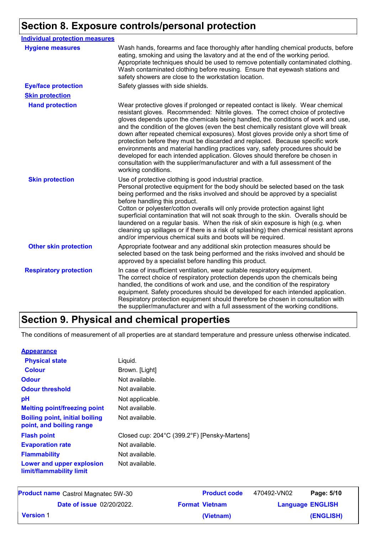# **Section 8. Exposure controls/personal protection**

| <b>Individual protection measures</b> |                                                                                                                                                                                                                                                                                                                                                                                                                                                                                                                                                                                                                                                                                                                                                                                                 |
|---------------------------------------|-------------------------------------------------------------------------------------------------------------------------------------------------------------------------------------------------------------------------------------------------------------------------------------------------------------------------------------------------------------------------------------------------------------------------------------------------------------------------------------------------------------------------------------------------------------------------------------------------------------------------------------------------------------------------------------------------------------------------------------------------------------------------------------------------|
| <b>Hygiene measures</b>               | Wash hands, forearms and face thoroughly after handling chemical products, before<br>eating, smoking and using the lavatory and at the end of the working period.<br>Appropriate techniques should be used to remove potentially contaminated clothing.<br>Wash contaminated clothing before reusing. Ensure that eyewash stations and<br>safety showers are close to the workstation location.                                                                                                                                                                                                                                                                                                                                                                                                 |
| <b>Eye/face protection</b>            | Safety glasses with side shields.                                                                                                                                                                                                                                                                                                                                                                                                                                                                                                                                                                                                                                                                                                                                                               |
| <b>Skin protection</b>                |                                                                                                                                                                                                                                                                                                                                                                                                                                                                                                                                                                                                                                                                                                                                                                                                 |
| <b>Hand protection</b>                | Wear protective gloves if prolonged or repeated contact is likely. Wear chemical<br>resistant gloves. Recommended: Nitrile gloves. The correct choice of protective<br>gloves depends upon the chemicals being handled, the conditions of work and use,<br>and the condition of the gloves (even the best chemically resistant glove will break<br>down after repeated chemical exposures). Most gloves provide only a short time of<br>protection before they must be discarded and replaced. Because specific work<br>environments and material handling practices vary, safety procedures should be<br>developed for each intended application. Gloves should therefore be chosen in<br>consultation with the supplier/manufacturer and with a full assessment of the<br>working conditions. |
| <b>Skin protection</b>                | Use of protective clothing is good industrial practice.<br>Personal protective equipment for the body should be selected based on the task<br>being performed and the risks involved and should be approved by a specialist<br>before handling this product.<br>Cotton or polyester/cotton overalls will only provide protection against light<br>superficial contamination that will not soak through to the skin. Overalls should be<br>laundered on a regular basis. When the risk of skin exposure is high (e.g. when<br>cleaning up spillages or if there is a risk of splashing) then chemical resistant aprons<br>and/or impervious chemical suits and boots will be required.                                                                                                           |
| <b>Other skin protection</b>          | Appropriate footwear and any additional skin protection measures should be<br>selected based on the task being performed and the risks involved and should be<br>approved by a specialist before handling this product.                                                                                                                                                                                                                                                                                                                                                                                                                                                                                                                                                                         |
| <b>Respiratory protection</b>         | In case of insufficient ventilation, wear suitable respiratory equipment.<br>The correct choice of respiratory protection depends upon the chemicals being<br>handled, the conditions of work and use, and the condition of the respiratory<br>equipment. Safety procedures should be developed for each intended application.<br>Respiratory protection equipment should therefore be chosen in consultation with<br>the supplier/manufacturer and with a full assessment of the working conditions.                                                                                                                                                                                                                                                                                           |

# **Section 9. Physical and chemical properties**

The conditions of measurement of all properties are at standard temperature and pressure unless otherwise indicated.

#### **Appearance**

| <b>Physical state</b>                                             | Liquid.                                      |
|-------------------------------------------------------------------|----------------------------------------------|
| <b>Colour</b>                                                     | Brown. [Light]                               |
| <b>Odour</b>                                                      | Not available.                               |
| <b>Odour threshold</b>                                            | Not available.                               |
| рH                                                                | Not applicable.                              |
| <b>Melting point/freezing point</b>                               | Not available.                               |
| <b>Boiling point, initial boiling</b><br>point, and boiling range | Not available.                               |
| <b>Flash point</b>                                                | Closed cup: 204°C (399.2°F) [Pensky-Martens] |
| <b>Evaporation rate</b>                                           | Not available.                               |
| <b>Flammability</b>                                               | Not available.                               |
| Lower and upper explosion<br>limit/flammability limit             | Not available.                               |

| <b>Product name</b> Castrol Magnatec 5W-30 | <b>Product code</b>   | 470492-VN02 | Page: 5/10              |
|--------------------------------------------|-----------------------|-------------|-------------------------|
| <b>Date of issue 02/20/2022.</b>           | <b>Format Vietnam</b> |             | <b>Language ENGLISH</b> |
| <b>Version 1</b>                           | (Vietnam)             |             | (ENGLISH)               |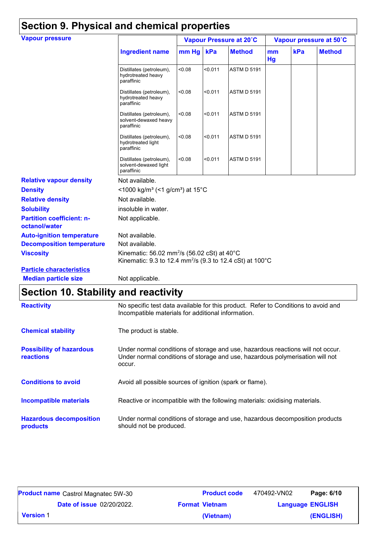| <b>Vapour pressure</b>                            |                                                                                                                                            |        |         | Vapour Pressure at 20°C |          |     | Vapour pressure at 50°C |
|---------------------------------------------------|--------------------------------------------------------------------------------------------------------------------------------------------|--------|---------|-------------------------|----------|-----|-------------------------|
|                                                   | <b>Ingredient name</b>                                                                                                                     | mm Hg  | kPa     | <b>Method</b>           | mm<br>Hg | kPa | <b>Method</b>           |
|                                                   | Distillates (petroleum),<br>hydrotreated heavy<br>paraffinic                                                                               | < 0.08 | < 0.011 | <b>ASTM D 5191</b>      |          |     |                         |
|                                                   | Distillates (petroleum),<br>hydrotreated heavy<br>paraffinic                                                                               | < 0.08 | < 0.011 | <b>ASTM D 5191</b>      |          |     |                         |
|                                                   | Distillates (petroleum),<br>solvent-dewaxed heavy<br>paraffinic                                                                            | < 0.08 | < 0.011 | <b>ASTM D 5191</b>      |          |     |                         |
|                                                   | Distillates (petroleum),<br>hydrotreated light<br>paraffinic                                                                               | < 0.08 | < 0.011 | <b>ASTM D 5191</b>      |          |     |                         |
|                                                   | Distillates (petroleum),<br>solvent-dewaxed light<br>paraffinic                                                                            | <0.08  | < 0.011 | <b>ASTM D 5191</b>      |          |     |                         |
| <b>Relative vapour density</b>                    | Not available.                                                                                                                             |        |         |                         |          |     |                         |
| <b>Density</b>                                    | <1000 kg/m <sup>3</sup> (<1 g/cm <sup>3</sup> ) at 15 <sup>°</sup> C                                                                       |        |         |                         |          |     |                         |
| <b>Relative density</b>                           | Not available.                                                                                                                             |        |         |                         |          |     |                         |
| <b>Solubility</b>                                 | insoluble in water.                                                                                                                        |        |         |                         |          |     |                         |
| <b>Partition coefficient: n-</b><br>octanol/water | Not applicable.                                                                                                                            |        |         |                         |          |     |                         |
| <b>Auto-ignition temperature</b>                  | Not available.                                                                                                                             |        |         |                         |          |     |                         |
| <b>Decomposition temperature</b>                  | Not available.                                                                                                                             |        |         |                         |          |     |                         |
| <b>Viscosity</b>                                  | Kinematic: 56.02 mm <sup>2</sup> /s (56.02 cSt) at 40 $^{\circ}$ C<br>Kinematic: 9.3 to 12.4 mm <sup>2</sup> /s (9.3 to 12.4 cSt) at 100°C |        |         |                         |          |     |                         |
| <b>Particle characteristics</b>                   |                                                                                                                                            |        |         |                         |          |     |                         |
| <b>Median particle size</b>                       | Not applicable.                                                                                                                            |        |         |                         |          |     |                         |

# **Section 10. Stability and reactivity**

| <b>Reactivity</b>                                   | No specific test data available for this product. Refer to Conditions to avoid and<br>Incompatible materials for additional information.                                   |
|-----------------------------------------------------|----------------------------------------------------------------------------------------------------------------------------------------------------------------------------|
| <b>Chemical stability</b>                           | The product is stable.                                                                                                                                                     |
| <b>Possibility of hazardous</b><br><b>reactions</b> | Under normal conditions of storage and use, hazardous reactions will not occur.<br>Under normal conditions of storage and use, hazardous polymerisation will not<br>occur. |
| <b>Conditions to avoid</b>                          | Avoid all possible sources of ignition (spark or flame).                                                                                                                   |
| <b>Incompatible materials</b>                       | Reactive or incompatible with the following materials: oxidising materials.                                                                                                |
| <b>Hazardous decomposition</b><br>products          | Under normal conditions of storage and use, hazardous decomposition products<br>should not be produced.                                                                    |

|                  | <b>Product name</b> Castrol Magnatec 5W-30 | <b>Product code</b>   | 470492-VN02             | Page: 6/10 |
|------------------|--------------------------------------------|-----------------------|-------------------------|------------|
|                  | <b>Date of issue 02/20/2022.</b>           | <b>Format Vietnam</b> | <b>Language ENGLISH</b> |            |
| <b>Version 1</b> |                                            | (Vietnam)             |                         | (ENGLISH)  |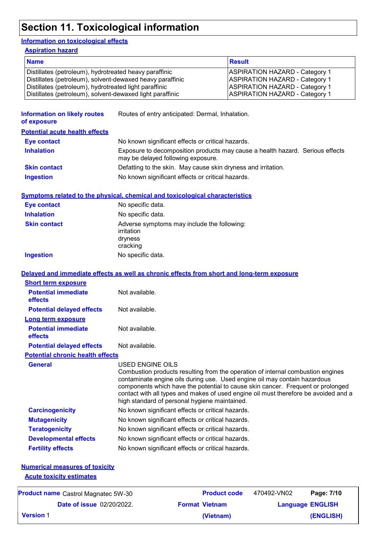# **Section 11. Toxicological information**

### **Information on toxicological effects**

**Aspiration hazard**

| <b>Name</b>                                               | <b>Result</b>                         |
|-----------------------------------------------------------|---------------------------------------|
| Distillates (petroleum), hydrotreated heavy paraffinic    | <b>ASPIRATION HAZARD - Category 1</b> |
| Distillates (petroleum), solvent-dewaxed heavy paraffinic | <b>ASPIRATION HAZARD - Category 1</b> |
| Distillates (petroleum), hydrotreated light paraffinic    | <b>ASPIRATION HAZARD - Category 1</b> |
| Distillates (petroleum), solvent-dewaxed light paraffinic | <b>ASPIRATION HAZARD - Category 1</b> |

| <b>Information on likely routes</b><br>of exposure | Routes of entry anticipated: Dermal, Inhalation.                                                                                                                                                                                                                                                                                                                                                                   |  |  |  |
|----------------------------------------------------|--------------------------------------------------------------------------------------------------------------------------------------------------------------------------------------------------------------------------------------------------------------------------------------------------------------------------------------------------------------------------------------------------------------------|--|--|--|
| <b>Potential acute health effects</b>              |                                                                                                                                                                                                                                                                                                                                                                                                                    |  |  |  |
| <b>Eye contact</b>                                 | No known significant effects or critical hazards.                                                                                                                                                                                                                                                                                                                                                                  |  |  |  |
| <b>Inhalation</b>                                  | Exposure to decomposition products may cause a health hazard. Serious effects<br>may be delayed following exposure.                                                                                                                                                                                                                                                                                                |  |  |  |
| <b>Skin contact</b>                                | Defatting to the skin. May cause skin dryness and irritation.                                                                                                                                                                                                                                                                                                                                                      |  |  |  |
| <b>Ingestion</b>                                   | No known significant effects or critical hazards.                                                                                                                                                                                                                                                                                                                                                                  |  |  |  |
|                                                    | <b>Symptoms related to the physical, chemical and toxicological characteristics</b>                                                                                                                                                                                                                                                                                                                                |  |  |  |
| <b>Eye contact</b>                                 | No specific data.                                                                                                                                                                                                                                                                                                                                                                                                  |  |  |  |
| <b>Inhalation</b>                                  | No specific data.                                                                                                                                                                                                                                                                                                                                                                                                  |  |  |  |
| <b>Skin contact</b>                                | Adverse symptoms may include the following:<br>irritation<br>dryness<br>cracking                                                                                                                                                                                                                                                                                                                                   |  |  |  |
| <b>Ingestion</b>                                   | No specific data.                                                                                                                                                                                                                                                                                                                                                                                                  |  |  |  |
|                                                    | Delayed and immediate effects as well as chronic effects from short and long-term exposure                                                                                                                                                                                                                                                                                                                         |  |  |  |
| <b>Short term exposure</b>                         |                                                                                                                                                                                                                                                                                                                                                                                                                    |  |  |  |
| <b>Potential immediate</b><br>effects              | Not available.                                                                                                                                                                                                                                                                                                                                                                                                     |  |  |  |
| <b>Potential delayed effects</b>                   | Not available.                                                                                                                                                                                                                                                                                                                                                                                                     |  |  |  |
| <b>Long term exposure</b>                          |                                                                                                                                                                                                                                                                                                                                                                                                                    |  |  |  |
| <b>Potential immediate</b><br>effects              | Not available.                                                                                                                                                                                                                                                                                                                                                                                                     |  |  |  |
| <b>Potential delayed effects</b>                   | Not available.                                                                                                                                                                                                                                                                                                                                                                                                     |  |  |  |
| <b>Potential chronic health effects</b>            |                                                                                                                                                                                                                                                                                                                                                                                                                    |  |  |  |
| <b>General</b>                                     | <b>USED ENGINE OILS</b><br>Combustion products resulting from the operation of internal combustion engines<br>contaminate engine oils during use. Used engine oil may contain hazardous<br>components which have the potential to cause skin cancer. Frequent or prolonged<br>contact with all types and makes of used engine oil must therefore be avoided and a<br>high standard of personal hygiene maintained. |  |  |  |
| <b>Carcinogenicity</b>                             | No known significant effects or critical hazards.                                                                                                                                                                                                                                                                                                                                                                  |  |  |  |
| <b>Mutagenicity</b>                                | No known significant effects or critical hazards.                                                                                                                                                                                                                                                                                                                                                                  |  |  |  |
| <b>Teratogenicity</b>                              | No known significant effects or critical hazards.                                                                                                                                                                                                                                                                                                                                                                  |  |  |  |
| <b>Developmental effects</b>                       | No known significant effects or critical hazards.                                                                                                                                                                                                                                                                                                                                                                  |  |  |  |
| <b>Fertility effects</b>                           | No known significant effects or critical hazards.                                                                                                                                                                                                                                                                                                                                                                  |  |  |  |

#### **Numerical measures of toxicity Acute toxicity estimates**

| <b>Product name</b> Castrol Magnatec 5W-30 |                                  | <b>Product code</b>   | 470492-VN02 | Page: 7/10              |  |
|--------------------------------------------|----------------------------------|-----------------------|-------------|-------------------------|--|
|                                            | <b>Date of issue 02/20/2022.</b> | <b>Format Vietnam</b> |             | <b>Language ENGLISH</b> |  |
| <b>Version 1</b>                           |                                  | (Vietnam)             |             | (ENGLISH)               |  |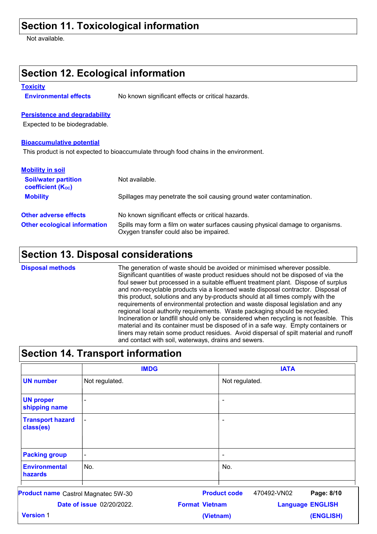## **Section 11. Toxicological information**

Not available.

| <b>Section 12. Ecological information</b>                                                                                                                        |                                                                      |  |  |  |  |
|------------------------------------------------------------------------------------------------------------------------------------------------------------------|----------------------------------------------------------------------|--|--|--|--|
| <b>Toxicity</b>                                                                                                                                                  |                                                                      |  |  |  |  |
| <b>Environmental effects</b>                                                                                                                                     | No known significant effects or critical hazards.                    |  |  |  |  |
| <b>Persistence and degradability</b>                                                                                                                             |                                                                      |  |  |  |  |
| Expected to be biodegradable.                                                                                                                                    |                                                                      |  |  |  |  |
| <b>Bioaccumulative potential</b>                                                                                                                                 |                                                                      |  |  |  |  |
| This product is not expected to bioaccumulate through food chains in the environment.                                                                            |                                                                      |  |  |  |  |
| <b>Mobility in soil</b>                                                                                                                                          |                                                                      |  |  |  |  |
| <b>Soil/water partition</b><br><b>coefficient (Koc)</b>                                                                                                          | Not available.                                                       |  |  |  |  |
| <b>Mobility</b>                                                                                                                                                  | Spillages may penetrate the soil causing ground water contamination. |  |  |  |  |
| <b>Other adverse effects</b>                                                                                                                                     | No known significant effects or critical hazards.                    |  |  |  |  |
| <b>Other ecological information</b><br>Spills may form a film on water surfaces causing physical damage to organisms.<br>Oxygen transfer could also be impaired. |                                                                      |  |  |  |  |

### **Section 13. Disposal considerations**

The generation of waste should be avoided or minimised wherever possible. Significant quantities of waste product residues should not be disposed of via the foul sewer but processed in a suitable effluent treatment plant. Dispose of surplus and non-recyclable products via a licensed waste disposal contractor. Disposal of this product, solutions and any by-products should at all times comply with the requirements of environmental protection and waste disposal legislation and any regional local authority requirements. Waste packaging should be recycled. Incineration or landfill should only be considered when recycling is not feasible. This material and its container must be disposed of in a safe way. Empty containers or liners may retain some product residues. Avoid dispersal of spilt material and runoff and contact with soil, waterways, drains and sewers. **Disposal methods**

### **Section 14. Transport information**

|                                      | <b>IMDG</b>           | <b>IATA</b>                                      |
|--------------------------------------|-----------------------|--------------------------------------------------|
| <b>UN number</b>                     | Not regulated.        | Not regulated.                                   |
| <b>UN proper</b><br>shipping name    | $\tilde{\phantom{a}}$ | $\overline{\phantom{a}}$                         |
| <b>Transport hazard</b><br>class(es) | $\blacksquare$        | $\blacksquare$                                   |
| <b>Packing group</b>                 | $\blacksquare$        | $\tilde{\phantom{a}}$                            |
| <b>Environmental</b><br>hazards      | No.                   | No.                                              |
| Product name Castrol Magnatec 5W-30  |                       | <b>Product code</b><br>470492-VN02<br>Page: 8/10 |

|                  | <b>Date of issue 02/20/2022.</b> | <b>Format Vietnam</b> | <b>Language ENGLISH</b> |  |
|------------------|----------------------------------|-----------------------|-------------------------|--|
| <b>Version</b> 1 |                                  | (Vietnam)             | (ENGLISH)               |  |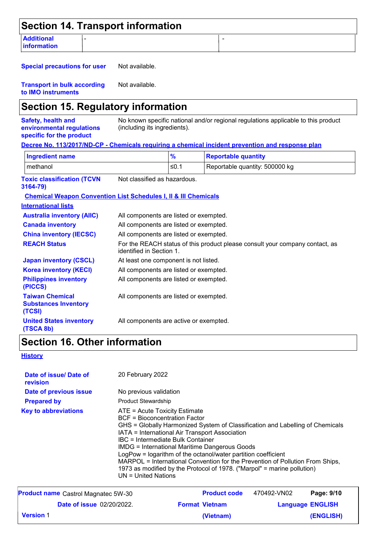| <b>Section 14. Transport information</b>                                    |                                        |                                        |  |                                                                                                  |  |
|-----------------------------------------------------------------------------|----------------------------------------|----------------------------------------|--|--------------------------------------------------------------------------------------------------|--|
| <b>Additional</b><br>information                                            |                                        |                                        |  | $\blacksquare$                                                                                   |  |
| <b>Special precautions for user</b>                                         | Not available.                         |                                        |  |                                                                                                  |  |
| <b>Transport in bulk according</b><br>to IMO instruments                    | Not available.                         |                                        |  |                                                                                                  |  |
| <b>Section 15. Regulatory information</b>                                   |                                        |                                        |  |                                                                                                  |  |
| Safety, health and<br>environmental regulations<br>specific for the product | (including its ingredients).           |                                        |  | No known specific national and/or regional regulations applicable to this product                |  |
|                                                                             |                                        |                                        |  | Decree No. 113/2017/ND-CP - Chemicals requiring a chemical incident prevention and response plan |  |
| <b>Ingredient name</b>                                                      |                                        | $\frac{9}{6}$                          |  | <b>Reportable quantity</b>                                                                       |  |
| methanol                                                                    |                                        | $≤0.1$                                 |  | Reportable quantity: 500000 kg                                                                   |  |
| <b>Toxic classification (TCVN</b><br>3164-79)                               | Not classified as hazardous.           |                                        |  |                                                                                                  |  |
| <b>Chemical Weapon Convention List Schedules I, II &amp; III Chemicals</b>  |                                        |                                        |  |                                                                                                  |  |
| <b>International lists</b>                                                  |                                        |                                        |  |                                                                                                  |  |
| <b>Australia inventory (AIIC)</b>                                           | All components are listed or exempted. |                                        |  |                                                                                                  |  |
| <b>Canada inventory</b>                                                     |                                        | All components are listed or exempted. |  |                                                                                                  |  |
| <b>China inventory (IECSC)</b>                                              | All components are listed or exempted. |                                        |  |                                                                                                  |  |
| <b>REACH Status</b>                                                         | identified in Section 1.               |                                        |  | For the REACH status of this product please consult your company contact, as                     |  |
| <b>Japan inventory (CSCL)</b>                                               | At least one component is not listed.  |                                        |  |                                                                                                  |  |
| <b>Korea inventory (KECI)</b>                                               | All components are listed or exempted. |                                        |  |                                                                                                  |  |
| <b>Philippines inventory</b><br>(PICCS)                                     |                                        | All components are listed or exempted. |  |                                                                                                  |  |
| <b>Taiwan Chemical</b><br><b>Substances Inventory</b><br>(TCSI)             | All components are listed or exempted. |                                        |  |                                                                                                  |  |

#### **United States inventory (TSCA 8b)** All components are active or exempted.

## **Section 16. Other information**

### **History**

| Date of issue/ Date of<br>revision         | 20 February 2022                                                                                                                                                                                                                       |                                                                                                                                                                                                                                                                                                            |             |                         |  |  |
|--------------------------------------------|----------------------------------------------------------------------------------------------------------------------------------------------------------------------------------------------------------------------------------------|------------------------------------------------------------------------------------------------------------------------------------------------------------------------------------------------------------------------------------------------------------------------------------------------------------|-------------|-------------------------|--|--|
| Date of previous issue                     |                                                                                                                                                                                                                                        | No previous validation<br><b>Product Stewardship</b>                                                                                                                                                                                                                                                       |             |                         |  |  |
| <b>Prepared by</b>                         |                                                                                                                                                                                                                                        |                                                                                                                                                                                                                                                                                                            |             |                         |  |  |
| <b>Key to abbreviations</b>                | ATE = Acute Toxicity Estimate<br>BCF = Bioconcentration Factor<br>IATA = International Air Transport Association<br>IBC = Intermediate Bulk Container<br><b>IMDG = International Maritime Dangerous Goods</b><br>$UN = United Nations$ | GHS = Globally Harmonized System of Classification and Labelling of Chemicals<br>LogPow = logarithm of the octanol/water partition coefficient<br>MARPOL = International Convention for the Prevention of Pollution From Ships,<br>1973 as modified by the Protocol of 1978. ("Marpol" = marine pollution) |             |                         |  |  |
| <b>Product name</b> Castrol Magnatec 5W-30 |                                                                                                                                                                                                                                        | <b>Product code</b>                                                                                                                                                                                                                                                                                        | 470492-VN02 | Page: 9/10              |  |  |
| <b>Date of issue 02/20/2022.</b>           |                                                                                                                                                                                                                                        | <b>Format Vietnam</b>                                                                                                                                                                                                                                                                                      |             | <b>Language ENGLISH</b> |  |  |

**(Vietnam)**

**(ENGLISH)**